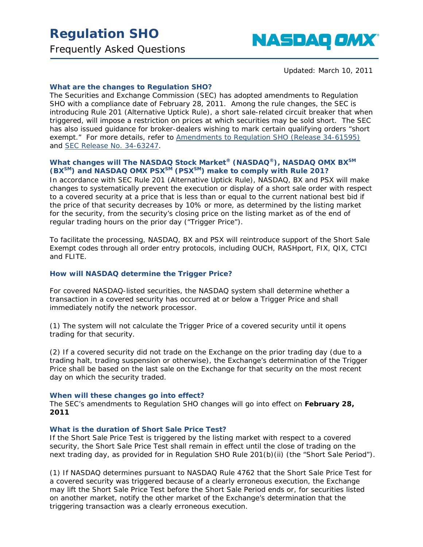# **Regulation SHO**

Frequently Asked Questions



*Updated: March 10, 2011*

# **What are the changes to Regulation SHO?**

The Securities and Exchange Commission (SEC) has adopted amendments to Regulation SHO with a compliance date of February 28, 2011. Among the rule changes, the SEC is introducing Rule 201 (Alternative Uptick Rule), a short sale-related circuit breaker that when triggered, will impose a restriction on prices at which securities may be sold short. The SEC has also issued guidance for broker-dealers wishing to mark certain qualifying orders "short exempt." For more details, refer to [Amendments to Regulation SHO \(Release 34-61595\)](http://www.sec.gov/rules/final/2010/34-61595.pdf) and [SEC Release No. 34-63247.](http://www.sec.gov/rules/final/2010/34-63247.pdf)

# **What changes will The NASDAQ Stock Market® (NASDAQ®), NASDAQ OMX BXSM (BXSM) and NASDAQ OMX PSXSM (PSXSM) make to comply with Rule 201?**

In accordance with SEC Rule 201 (Alternative Uptick Rule), NASDAQ, BX and PSX will make changes to systematically prevent the execution or display of a short sale order with respect to a covered security at a price that is less than or equal to the current national best bid if the price of that security decreases by 10% or more, as determined by the listing market for the security, from the security's closing price on the listing market as of the end of regular trading hours on the prior day ("Trigger Price").

To facilitate the processing, NASDAQ, BX and PSX will reintroduce support of the Short Sale Exempt codes through all order entry protocols, including OUCH, RASHport, FIX, QIX, CTCI and FLITE.

#### **How will NASDAQ determine the Trigger Price?**

For covered NASDAQ-listed securities, the NASDAQ system shall determine whether a transaction in a covered security has occurred at or below a Trigger Price and shall immediately notify the network processor.

(1) The system will not calculate the Trigger Price of a covered security until it opens trading for that security.

(2) If a covered security did not trade on the Exchange on the prior trading day (due to a trading halt, trading suspension or otherwise), the Exchange's determination of the Trigger Price shall be based on the last sale on the Exchange for that security on the most recent day on which the security traded.

#### **When will these changes go into effect?**

The SEC's amendments to Regulation SHO changes will go into effect on **February 28, 2011**

#### **What is the duration of Short Sale Price Test?**

If the Short Sale Price Test is triggered by the listing market with respect to a covered security, the Short Sale Price Test shall remain in effect until the close of trading on the next trading day, as provided for in Regulation SHO Rule 201(b)(ii) (the "Short Sale Period").

(1) If NASDAQ determines pursuant to NASDAQ Rule 4762 that the Short Sale Price Test for a covered security was triggered because of a clearly erroneous execution, the Exchange may lift the Short Sale Price Test before the Short Sale Period ends or, for securities listed on another market, notify the other market of the Exchange's determination that the triggering transaction was a clearly erroneous execution.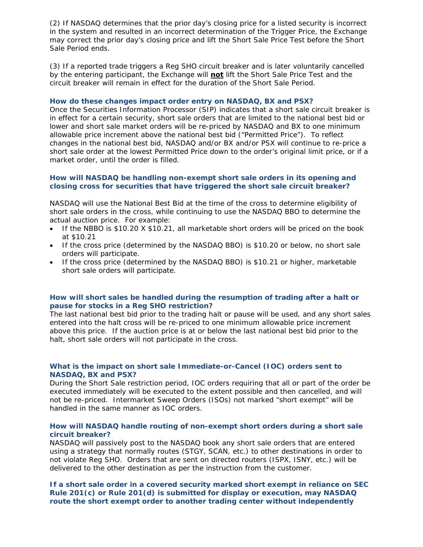(2) If NASDAQ determines that the prior day's closing price for a listed security is incorrect in the system and resulted in an incorrect determination of the Trigger Price, the Exchange may correct the prior day's closing price and lift the Short Sale Price Test before the Short Sale Period ends.

(3) If a reported trade triggers a Reg SHO circuit breaker and is later voluntarily cancelled by the entering participant, the Exchange will **not** lift the Short Sale Price Test and the circuit breaker will remain in effect for the duration of the Short Sale Period.

## **How do these changes impact order entry on NASDAQ, BX and PSX?**

Once the Securities Information Processor (SIP) indicates that a short sale circuit breaker is in effect for a certain security, short sale orders that are limited to the national best bid or lower and short sale market orders will be re-priced by NASDAQ and BX to one minimum allowable price increment above the national best bid ("Permitted Price"). To reflect changes in the national best bid, NASDAQ and/or BX and/or PSX will continue to re-price a short sale order at the lowest Permitted Price down to the order's original limit price, or if a market order, until the order is filled.

## **How will NASDAQ be handling non-exempt short sale orders in its opening and closing cross for securities that have triggered the short sale circuit breaker?**

NASDAQ will use the National Best Bid at the time of the cross to determine eligibility of short sale orders in the cross, while continuing to use the NASDAQ BBO to determine the actual auction price. For example:

- If the NBBO is \$10.20 X \$10.21, all marketable short orders will be priced on the book at \$10.21
- If the cross price (determined by the NASDAQ BBO) is \$10.20 or below, no short sale orders will participate.
- If the cross price (determined by the NASDAQ BBO) is \$10.21 or higher, marketable short sale orders will participate.

## *How will short sales be handled during the resumption of trading after a halt or pause for stocks in a Reg SHO restriction?*

*The last national best bid prior to the trading halt or pause will be used, and any short sales entered into the halt cross will be re-priced to one minimum allowable price increment above this price. If the auction price is at or below the last national best bid prior to the halt, short sale orders will not participate in the cross.*

# **What is the impact on short sale Immediate-or-Cancel (IOC) orders sent to NASDAQ, BX and PSX?**

During the Short Sale restriction period, IOC orders requiring that all or part of the order be executed immediately will be executed to the extent possible and then cancelled, and will not be re-priced. Intermarket Sweep Orders (ISOs) not marked "short exempt" will be handled in the same manner as IOC orders.

## **How will NASDAQ handle routing of non-exempt short orders during a short sale circuit breaker?**

NASDAQ will passively post to the NASDAQ book any short sale orders that are entered using a strategy that normally routes (STGY, SCAN, etc.) to other destinations in order to not violate Reg SHO. Orders that are sent on directed routers (ISPX, ISNY, etc.) will be delivered to the other destination as per the instruction from the customer.

**If a short sale order in a covered security marked short exempt in reliance on SEC Rule 201(c) or Rule 201(d) is submitted for display or execution, may NASDAQ route the short exempt order to another trading center without independently**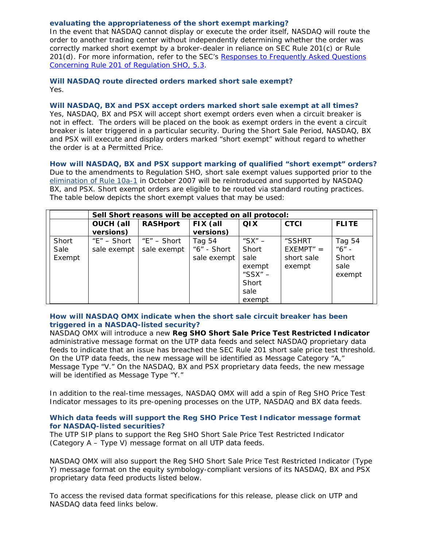## **evaluating the appropriateness of the short exempt marking?**

In the event that NASDAQ cannot display or execute the order itself, NASDAQ will route the order to another trading center without independently determining whether the order was correctly marked short exempt by a broker-dealer in reliance on SEC Rule 201(c) or Rule 201(d). For more information, refer to the SEC's [Responses to Frequently Asked Questions](http://www.sec.gov/divisions/marketreg/rule201faq.htm)  [Concerning Rule 201 of Regulation SHO, 5.3.](http://www.sec.gov/divisions/marketreg/rule201faq.htm)

## **Will NASDAQ route directed orders marked short sale exempt?** Yes.

#### **Will NASDAQ, BX and PSX accept orders marked short sale exempt at all times?**

Yes, NASDAQ, BX and PSX will accept short exempt orders even when a circuit breaker is not in effect. The orders will be placed on the book as exempt orders in the event a circuit breaker is later triggered in a particular security. During the Short Sale Period, NASDAQ, BX and PSX will execute and display orders marked "short exempt" without regard to whether the order is at a Permitted Price.

**How will NASDAQ, BX and PSX support marking of qualified "short exempt" orders?** Due to the amendments to Regulation SHO, short sale exempt values supported prior to the [elimination of Rule 10a-1](http://www.nasdaqtrader.com/TraderNews.aspx?id=ra2007-082) in October 2007 will be reintroduced and supported by NASDAQ BX, and PSX. Short exempt orders are eligible to be routed via standard routing practices. The table below depicts the short exempt values that may be used:

| <b>FLITE</b>                                              |
|-----------------------------------------------------------|
|                                                           |
|                                                           |
| Tag 54<br>"6" -<br>$EXEMPT" =$<br>Short<br>sale<br>exempt |
|                                                           |

# **How will NASDAQ OMX indicate when the short sale circuit breaker has been triggered in a NASDAQ-listed security?**

NASDAQ OMX will introduce a new **Reg SHO Short Sale Price Test Restricted Indicator** administrative message format on the UTP data feeds and select NASDAQ proprietary data feeds to indicate that an issue has breached the SEC Rule 201 short sale price test threshold. On the UTP data feeds, the new message will be identified as Message Category "A," Message Type "V." On the NASDAQ, BX and PSX proprietary data feeds, the new message will be identified as Message Type "Y."

In addition to the real-time messages, NASDAQ OMX will add a spin of Reg SHO Price Test Indicator messages to its pre-opening processes on the UTP, NASDAQ and BX data feeds.

## **Which data feeds will support the Reg SHO Price Test Indicator message format for NASDAQ-listed securities?**

The UTP SIP plans to support the Reg SHO Short Sale Price Test Restricted Indicator (Category A – Type V) message format on all UTP data feeds.

NASDAQ OMX will also support the Reg SHO Short Sale Price Test Restricted Indicator (Type Y) message format on the equity symbology-compliant versions of its NASDAQ, BX and PSX proprietary data feed products listed below.

To access the revised data format specifications for this release, please click on UTP and NASDAQ data feed links below.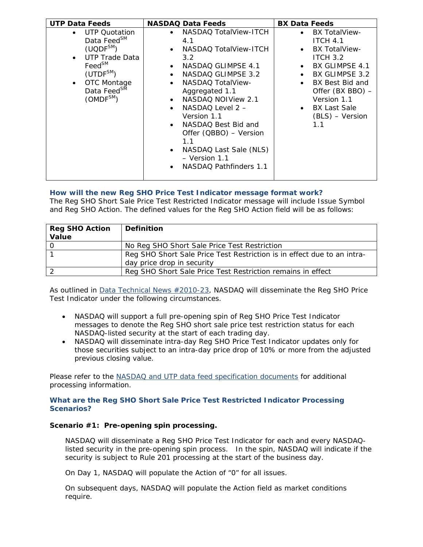| <b>UTP Data Feeds</b>                                                                                                                                                                                                          | <b>NASDAQ Data Feeds</b>                                                                                                                                                                                                                                                                                                                                                                                                                                                       | <b>BX Data Feeds</b>                                                                                                                                                                                                          |
|--------------------------------------------------------------------------------------------------------------------------------------------------------------------------------------------------------------------------------|--------------------------------------------------------------------------------------------------------------------------------------------------------------------------------------------------------------------------------------------------------------------------------------------------------------------------------------------------------------------------------------------------------------------------------------------------------------------------------|-------------------------------------------------------------------------------------------------------------------------------------------------------------------------------------------------------------------------------|
| <b>UTP Quotation</b><br>Data Feed <sup>SM</sup><br>$(UQDF^{SM})$<br>UTP Trade Data<br>$\bullet$<br>Feed <sup>SM</sup><br>(UTDF <sup>SM</sup> )<br>OTC Montage<br>$\bullet$<br>Data Feed <sup>SM</sup><br>(OMDF <sup>SM</sup> ) | NASDAQ TotalView-ITCH<br>$\bullet$<br>4.1<br>NASDAQ TotalView-ITCH<br>$\bullet$<br>3.2<br>NASDAQ GLIMPSE 4.1<br>$\bullet$<br>NASDAQ GLIMPSE 3.2<br>$\bullet$<br><b>NASDAQ TotalView-</b><br>$\bullet$<br>Aggregated 1.1<br>NASDAQ NOIView 2.1<br>$\bullet$<br>NASDAQ Level 2 -<br>$\bullet$<br>Version 1.1<br>NASDAQ Best Bid and<br>$\bullet$<br>Offer (QBBO) - Version<br>1.1<br>NASDAQ Last Sale (NLS)<br>$\bullet$<br>- Version 1.1<br>NASDAQ Pathfinders 1.1<br>$\bullet$ | <b>BX TotalView-</b><br><b>ITCH 4.1</b><br><b>BX TotalView-</b><br><b>ITCH 3.2</b><br>BX GLIMPSE 4.1<br>BX GLIMPSE 3.2<br>BX Best Bid and<br>Offer (BX BBO) -<br>Version 1.1<br><b>BX Last Sale</b><br>(BLS) - Version<br>1.1 |

# **How will the new Reg SHO Price Test Indicator message format work?**

The Reg SHO Short Sale Price Test Restricted Indicator message will include Issue Symbol and Reg SHO Action. The defined values for the Reg SHO Action field will be as follows:

| <b>Reg SHO Action</b> | <b>Definition</b>                                                       |
|-----------------------|-------------------------------------------------------------------------|
| Value                 |                                                                         |
|                       | No Reg SHO Short Sale Price Test Restriction                            |
|                       | Reg SHO Short Sale Price Test Restriction is in effect due to an intra- |
|                       | day price drop in security                                              |
|                       | Reg SHO Short Sale Price Test Restriction remains in effect             |

As outlined in **Data Technical News #2010-23**, NASDAQ will disseminate the Reg SHO Price Test Indicator under the following circumstances.

- NASDAQ will support a full pre-opening spin of Reg SHO Price Test Indicator messages to denote the Reg SHO short sale price test restriction status for each NASDAQ-listed security at the start of each trading day.
- NASDAQ will disseminate intra-day Reg SHO Price Test Indicator updates only for those securities subject to an intra-day price drop of 10% or more from the adjusted previous closing value.

Please refer to the [NASDAQ and UTP data feed specification documents](http://www.nasdaqtrader.com/Trader.aspx?id=dpspecs) for additional processing information.

# **What are the Reg SHO Short Sale Price Test Restricted Indicator Processing Scenarios?**

# **Scenario #1: Pre-opening spin processing.**

NASDAQ will disseminate a Reg SHO Price Test Indicator for each and every NASDAQlisted security in the pre-opening spin process. In the spin, NASDAQ will indicate if the security is subject to Rule 201 processing at the start of the business day.

On Day 1, NASDAQ will populate the Action of "0" for all issues.

On subsequent days, NASDAQ will populate the Action field as market conditions require.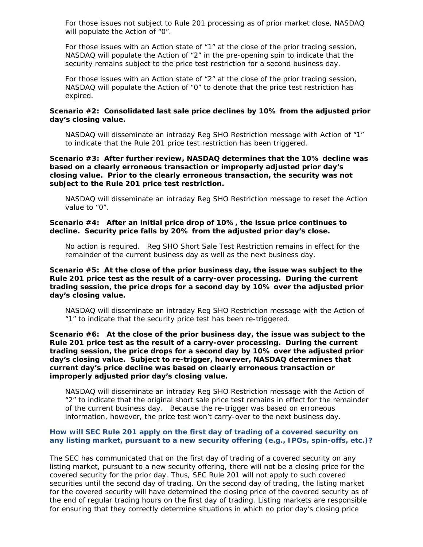For those issues not subject to Rule 201 processing as of prior market close, NASDAQ will populate the Action of "0".

For those issues with an Action state of "1" at the close of the prior trading session, NASDAQ will populate the Action of "2" in the pre-opening spin to indicate that the security remains subject to the price test restriction for a second business day.

For those issues with an Action state of "2" at the close of the prior trading session, NASDAQ will populate the Action of "0" to denote that the price test restriction has expired.

## **Scenario #2: Consolidated last sale price declines by 10% from the adjusted prior day's closing value.**

NASDAQ will disseminate an intraday Reg SHO Restriction message with Action of "1" to indicate that the Rule 201 price test restriction has been triggered.

## **Scenario #3: After further review, NASDAQ determines that the 10% decline was based on a clearly erroneous transaction or improperly adjusted prior day's closing value. Prior to the clearly erroneous transaction, the security was not subject to the Rule 201 price test restriction.**

NASDAQ will disseminate an intraday Reg SHO Restriction message to reset the Action value to "0".

## **Scenario #4: After an initial price drop of 10%, the issue price continues to decline. Security price falls by 20% from the adjusted prior day's close.**

No action is required. Reg SHO Short Sale Test Restriction remains in effect for the remainder of the current business day as well as the next business day.

## **Scenario #5: At the close of the prior business day, the issue was subject to the Rule 201 price test as the result of a carry-over processing. During the current trading session, the price drops for a second day by 10% over the adjusted prior day's closing value.**

NASDAQ will disseminate an intraday Reg SHO Restriction message with the Action of "1" to indicate that the security price test has been re-triggered.

**Scenario #6: At the close of the prior business day, the issue was subject to the Rule 201 price test as the result of a carry-over processing. During the current trading session, the price drops for a second day by 10% over the adjusted prior day's closing value. Subject to re-trigger, however, NASDAQ determines that current day's price decline was based on clearly erroneous transaction or improperly adjusted prior day's closing value.**

NASDAQ will disseminate an intraday Reg SHO Restriction message with the Action of "2" to indicate that the original short sale price test remains in effect for the remainder of the current business day. Because the re-trigger was based on erroneous information, however, the price test won't carry-over to the next business day.

## **How will SEC Rule 201 apply on the first day of trading of a covered security on any listing market, pursuant to a new security offering (e.g., IPOs, spin-offs, etc.)?**

The SEC has communicated that on the first day of trading of a covered security on any listing market, pursuant to a new security offering, there will not be a closing price for the covered security for the prior day. Thus, SEC Rule 201 will not apply to such covered securities until the second day of trading. On the second day of trading, the listing market for the covered security will have determined the closing price of the covered security as of the end of regular trading hours on the first day of trading. Listing markets are responsible for ensuring that they correctly determine situations in which no prior day's closing price